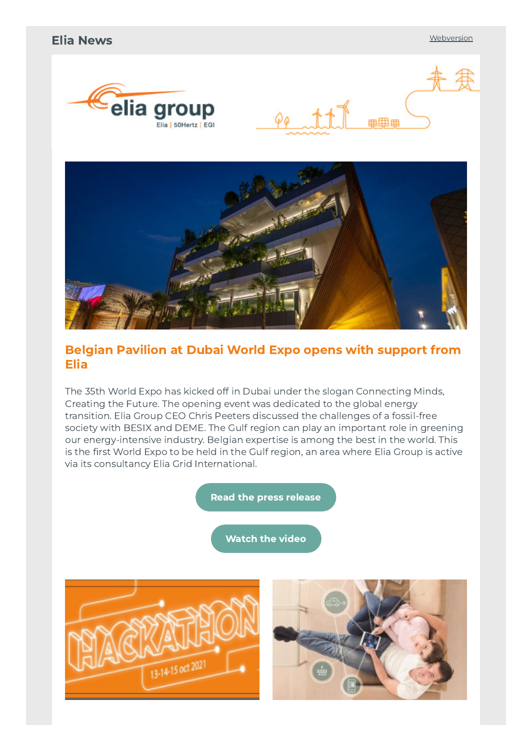#### Elia News **[Webversion](http://link.newsletters.elia.be/m/surl/7309/502107/7gomwTkZ355MrieZFmOY3A==/link_0/5cIhWoGf1NbfyaogSRCsH0VOtD4yRZdnjX5r1MfV4EuTuu3TsBSbSZfMXl6o-iWMqIAFIhXnNxw9FKQ9iUTdyDsreS9PTTj0XrYyXWdJDfhEccUw-eVRryVML1iLbMsR)**





### Belgian Pavilion at Dubai World Expo opens with support from Elia

The 35th World Expo has kicked off in Dubai under the slogan Connecting Minds, Creating the Future. The opening event was dedicated to the global energy transition. Elia Group CEO Chris Peeters discussed the challenges of a fossil-free society with BESIX and DEME. The Gulf region can play an important role in greening our energy-intensive industry. Belgian expertise is among the best in the world. This is the first World Expo to be held in the Gulf region, an area where Elia Group is active via its consultancy Elia Grid International.

Read the press [release](http://link.newsletters.elia.be/m/surl/7309/502107/7gomwTkZ355MrieZFmOY3A==/link_2/k5JpEUxHkKyedX9bhc34zWukeL72hH4J5C5agtA-aVEG8ocblzi-S9eS5jj1s9y3uazdxNgxH0dAzLtZ8okZHxn3v9m4uKqzZp0J5h5YdyO-rMz9abY9uGIjpdv67YoygQBCLu4o0U+bHw3DJcMpQ-uutQtAwejIgODkPX+A31W93afEXlNiTK7I1sOWGps1kNQK2kjRMznOtBn-r1Z7Ow==)

[Watch](http://link.newsletters.elia.be/m/surl/7309/502107/7gomwTkZ355MrieZFmOY3A==/link_3/lMNKneejq+Ap2Z4OyIwxxIfGecKg6VkiwSC1dSf0Q9wuv688l4ovESn8bfyHHo6n0XLHTN9CqoKS9jQmNtxeYA==) the video

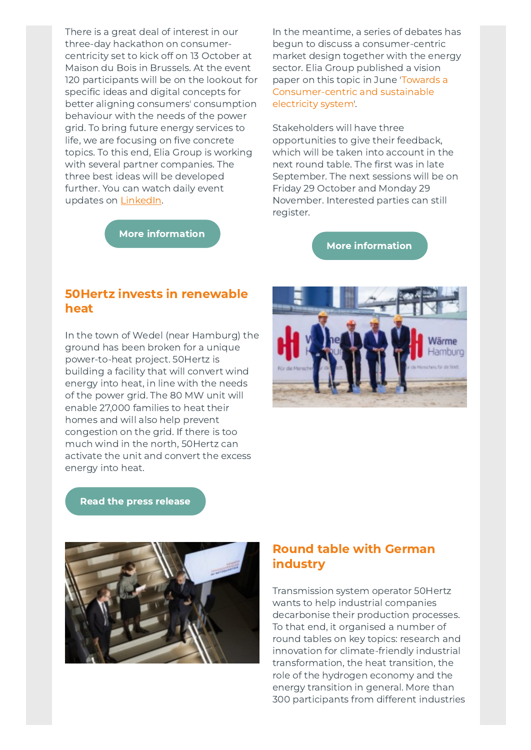There is a great deal of interest in our three-day hackathon on consumercentricity set to kick off on 13 October at Maison du Bois in Brussels. At the event 120 participants will be on the lookout for specific ideas and digital concepts for better aligning consumers' consumption behaviour with the needs of the power grid. To bring future energy services to life, we are focusing on five concrete topics. To this end, Elia Group is working with several partner companies. The three best ideas will be developed further. You can watch daily event updates on [LinkedIn](http://link.newsletters.elia.be/m/surl/7309/502107/7gomwTkZ355MrieZFmOY3A==/link_4/HqOUzUEZIM5Et-nBf8Y+VtnN9K1dyI2hChlomHvIzj9BqPOQti9KIf5rs95wUfZcL9T2p7IpKkVcaNQjIWZg1g==).

In the meantime, a series of debates has begun to discuss a consumer-centric market design together with the energy sector. Elia Group published a vision paper on this topic in June 'Towards a [Consumer-centric](http://link.newsletters.elia.be/m/surl/7309/502107/7gomwTkZ355MrieZFmOY3A==/link_6/9MpaKTBBCIDXIpEmN2YUwRrH6Tx-Exm6C4o1QAXEbD+b9OhXFE6NL1q6j9+kYMI5O74BgecHlhmgGpF+-kc7i78R0A6V0UUcKT4kWwXafMWUTBVogeIgymnZLt9wXrCIQWynQJariqRBQXtJR5VLAVXuxsVOIWF9TcLiCD5dUREw4aHhc1tUZPBryFQHtc2uy15mFn2jQEE1h2p85197MkR7vlwUMSGL9y4aGspBy-k=) and sustainable electricity system'.

Stakeholders will have three opportunities to give their feedback, which will be taken into account in the next round table. The first was in late September. The next sessions will be on Friday 29 October and Monday 29 November. Interested parties can still register.

More [information](http://link.newsletters.elia.be/m/surl/7309/502107/7gomwTkZ355MrieZFmOY3A==/link_7/w6qEC9cwFM18RRaGCCZJp2zvyw31HCx0I1WhpS9ety4wE+F3YMSj4ZtNfA8QOjkZ)

# More [information](http://link.newsletters.elia.be/m/surl/7309/502107/7gomwTkZ355MrieZFmOY3A==/link_5/kppi6btBtXFMnL1eoWu2EPNiseOK6KyYDK3-0aLCVujROzNAGyYtkOxCjtGoH9el9kAr6BPnfjZ4bAq-emiGFA==)

#### 50Hertz invests in renewable heat

In the town of Wedel (near Hamburg) the ground has been broken for a unique power-to-heat project. 50Hertz is building a facility that will convert wind energy into heat, in line with the needs of the power grid. The 80 MW unit will enable 27,000 families to heat their homes and will also help prevent congestion on the grid. If there is too much wind in the north, 50Hertz can activate the unit and convert the excess energy into heat.



Read the press [release](http://link.newsletters.elia.be/m/surl/7309/502107/7gomwTkZ355MrieZFmOY3A==/link_8/itPjMeIcHlEBYaGrau5PCytjd+QtWy60y0T+FouPLUCL7GHudQyJY4Plhmrncp1wLDMpUWs98I6vc6fMMug-QuaoKvf5p+4QkWKDX8PkV0fRXmS+J5s-Clhdcnf6iQPHGzJ3TbdC3I8iBIbPjhQ3Mevp833Z-OOxUUU+LvLYnas=)



#### Round table with German industry

Transmission system operator 50Hertz wants to help industrial companies decarbonise their production processes. To that end, it organised a number of round tables on key topics: research and innovation for climate-friendly industrial transformation, the heat transition, the role of the hydrogen economy and the energy transition in general. More than 300 participants from different industries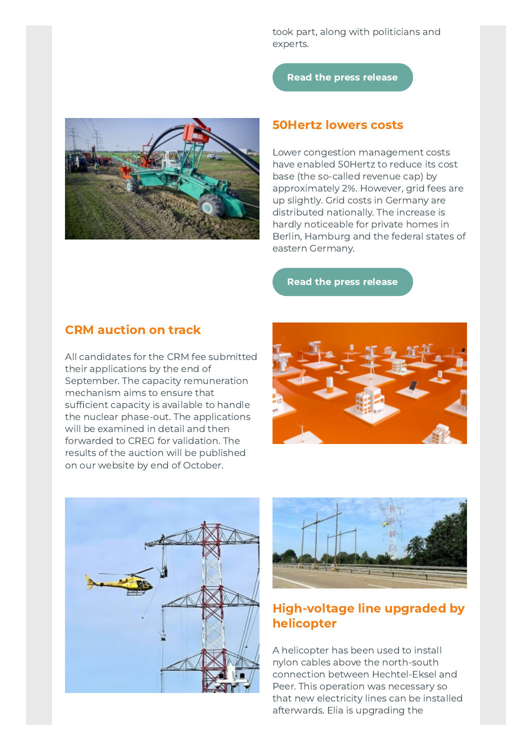took part, along with politicians and experts.

Read the press [release](http://link.newsletters.elia.be/m/surl/7309/502107/7gomwTkZ355MrieZFmOY3A==/link_9/aO-qEz3KOjqbEhO6Q-qQoEC3n4fbGIROg0h4yzbAmN5FeuMZMyAz+wpizWr47X5X0RXnBZCnX-IONLeDNDvyzyBCF5SIYYBHafHy-wepAJWKz9MkIU86h3NdkDa8hQOYF--6Akqa-zZl9sbtr8O7vXrZr1ctSaFsl9JDVynaSs1xULBuxLh6fJ1tMC0teDVDPCg2wr8jhIdiY5sEd2f+P+NWSGhRxG7LeNfpk59v8Es=)



#### 50Hertz lowers costs

Lower congestion management costs have enabled 50Hertz to reduce its cost base (the so-called revenue cap) by approximately 2%. However, grid fees are up slightly. Grid costs in Germany are distributed nationally. The increase is hardly noticeable for private homes in Berlin, Hamburg and the federal states of eastern Germany.

Read the press [release](http://link.newsletters.elia.be/m/surl/7309/502107/7gomwTkZ355MrieZFmOY3A==/link_10/k-MCb1D-f4SipnpMZremkk9epihb1aKz1Hrqq0rMtzKdpvsqHKY-o0AnjjgmoBKDXCIJEvbkcI2bHd992ydvK2XwOG-5JtqmDVoAEGoy+WtXTGHkZOX5ZouytaEOBdTUWLgOyV5TUvhxslcs5CuFThseXWC5cIvfiPwfdOOHl9s=)

#### CRM auction on track

All candidates for the CRM fee submitted their applications by the end of September. The capacity remuneration mechanism aims to ensure that sufficient capacity is available to handle the nuclear phase-out. The applications will be examined in detail and then forwarded to CREG for validation. The results of the auction will be published on our website by end of October.







#### High-voltage line upgraded by helicopter

A helicopter has been used to install nylon cables above the north-south connection between Hechtel-Eksel and Peer. This operation was necessary so that new electricity lines can be installed afterwards. Elia is upgrading the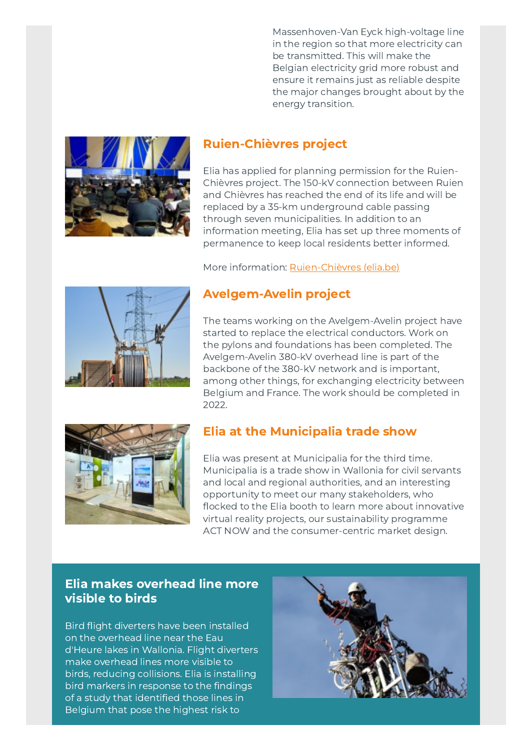Massenhoven-Van Eyck high-voltage line in the region so that more electricity can be transmitted. This will make the Belgian electricity grid more robust and ensure it remains just as reliable despite the major changes brought about by the energy transition.



#### Ruien-Chièvres project

Elia has applied for planning permission for the Ruien-Chièvres project. The 150-kV connection between Ruien and Chièvres has reached the end of its life and will be replaced by a 35-km underground cable passing through seven municipalities. In addition to an information meeting, Elia has set up three moments of permanence to keep local residents better informed.

More information: [Ruien-Chièvres](http://link.newsletters.elia.be/m/surl/7309/502107/7gomwTkZ355MrieZFmOY3A==/link_11/Ys+j8jM7YIuRAb9ugvT8kbVp6XCMUas-Qqkk3c42wMf8J1IbcIpP3VIqVW8E6OMdc34r4C0UkG6zbMfmLeBcodo-DpVwzCWPojVAaUwFrDCjg7fv4R8R0Ksfu1okOSynWY-rzD429dtBbvhXwDq4cA==) (elia.be)



## Avelgem-Avelin project

The teams working on the Avelgem-Avelin project have started to replace the electrical conductors. Work on the pylons and foundations has been completed. The Avelgem-Avelin 380-kV overhead line is part of the backbone of the 380-kV network and is important, among other things, for exchanging electricity between Belgium and France. The work should be completed in 2022.



#### Elia at the Municipalia trade show

Elia was present at Municipalia for the third time. Municipalia is a trade show in Wallonia for civil servants and local and regional authorities, and an interesting opportunity to meet our many stakeholders, who flocked to the Elia booth to learn more about innovative virtual reality projects, our sustainability programme ACT NOW and the consumer-centric market design.

#### Elia makes overhead line more visible to birds

Bird flight diverters have been installed on the overhead line near the Eau d'Heure lakes in Wallonia. Flight diverters make overhead lines more visible to birds, reducing collisions. Elia is installing bird markers in response to the findings of a study that identified those lines in Belgium that pose the highest risk to